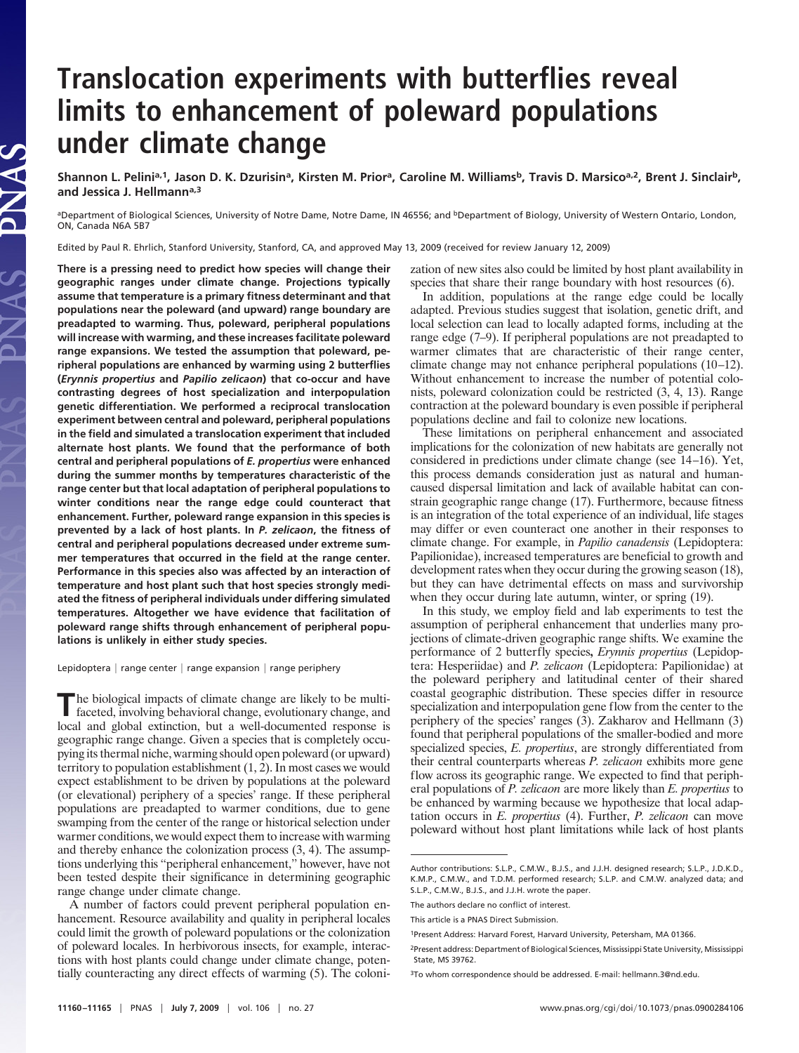# **Translocation experiments with butterflies reveal limits to enhancement of poleward populations under climate change**

Shannon L. Pelini<sup>a, 1</sup>, Jason D. K. Dzurisin<sup>a</sup>, Kirsten M. Prior<sup>a</sup>, Caroline M. Williams<sup>b</sup>, Travis D. Marsico<sup>a, 2</sup>, Brent J. Sinclair<sup>b</sup>, **and Jessica J. Hellmanna,3**

aDepartment of Biological Sciences, University of Notre Dame, Notre Dame, IN 46556; and <sup>b</sup>Department of Biology, University of Western Ontario, London, ON, Canada N6A 5B7

Edited by Paul R. Ehrlich, Stanford University, Stanford, CA, and approved May 13, 2009 (received for review January 12, 2009)

**There is a pressing need to predict how species will change their geographic ranges under climate change. Projections typically assume that temperature is a primary fitness determinant and that populations near the poleward (and upward) range boundary are preadapted to warming. Thus, poleward, peripheral populations will increase with warming, and these increases facilitate poleward range expansions. We tested the assumption that poleward, peripheral populations are enhanced by warming using 2 butterflies (***Erynnis propertius* **and** *Papilio zelicaon***) that co-occur and have contrasting degrees of host specialization and interpopulation genetic differentiation. We performed a reciprocal translocation experiment between central and poleward, peripheral populations in the field and simulated a translocation experiment that included alternate host plants. We found that the performance of both central and peripheral populations of** *E. propertius* **were enhanced during the summer months by temperatures characteristic of the range center but that local adaptation of peripheral populations to winter conditions near the range edge could counteract that enhancement. Further, poleward range expansion in this species is prevented by a lack of host plants. In** *P. zelicaon***, the fitness of central and peripheral populations decreased under extreme summer temperatures that occurred in the field at the range center. Performance in this species also was affected by an interaction of temperature and host plant such that host species strongly mediated the fitness of peripheral individuals under differing simulated temperatures. Altogether we have evidence that facilitation of poleward range shifts through enhancement of peripheral populations is unlikely in either study species.**

Lepidoptera  $|$  range center  $|$  range expansion  $|$  range periphery

**T**he biological impacts of climate change are likely to be multifaceted, involving behavioral change, evolutionary change, and local and global extinction, but a well-documented response is geographic range change. Given a species that is completely occupying its thermal niche, warming should open poleward (or upward) territory to population establishment (1, 2). In most cases we would expect establishment to be driven by populations at the poleward (or elevational) periphery of a species' range. If these peripheral populations are preadapted to warmer conditions, due to gene swamping from the center of the range or historical selection under warmer conditions, we would expect them to increase with warming and thereby enhance the colonization process (3, 4). The assumptions underlying this ''peripheral enhancement,'' however, have not been tested despite their significance in determining geographic range change under climate change.

A number of factors could prevent peripheral population enhancement. Resource availability and quality in peripheral locales could limit the growth of poleward populations or the colonization of poleward locales. In herbivorous insects, for example, interactions with host plants could change under climate change, potentially counteracting any direct effects of warming (5). The colonization of new sites also could be limited by host plant availability in species that share their range boundary with host resources (6).

In addition, populations at the range edge could be locally adapted. Previous studies suggest that isolation, genetic drift, and local selection can lead to locally adapted forms, including at the range edge (7–9). If peripheral populations are not preadapted to warmer climates that are characteristic of their range center, climate change may not enhance peripheral populations (10–12). Without enhancement to increase the number of potential colonists, poleward colonization could be restricted (3, 4, 13). Range contraction at the poleward boundary is even possible if peripheral populations decline and fail to colonize new locations.

These limitations on peripheral enhancement and associated implications for the colonization of new habitats are generally not considered in predictions under climate change (see 14–16). Yet, this process demands consideration just as natural and humancaused dispersal limitation and lack of available habitat can constrain geographic range change (17). Furthermore, because fitness is an integration of the total experience of an individual, life stages may differ or even counteract one another in their responses to climate change. For example, in *Papilio canadensis* (Lepidoptera: Papilionidae), increased temperatures are beneficial to growth and development rates when they occur during the growing season (18), but they can have detrimental effects on mass and survivorship when they occur during late autumn, winter, or spring  $(19)$ .

In this study, we employ field and lab experiments to test the assumption of peripheral enhancement that underlies many projections of climate-driven geographic range shifts. We examine the performance of 2 butterfly species**,** *Erynnis propertius* (Lepidoptera: Hesperiidae) and *P. zelicaon* (Lepidoptera: Papilionidae) at the poleward periphery and latitudinal center of their shared coastal geographic distribution. These species differ in resource specialization and interpopulation gene flow from the center to the periphery of the species' ranges (3). Zakharov and Hellmann (3) found that peripheral populations of the smaller-bodied and more specialized species, *E. propertius*, are strongly differentiated from their central counterparts whereas *P. zelicaon* exhibits more gene flow across its geographic range. We expected to find that peripheral populations of *P. zelicaon* are more likely than *E. propertius* to be enhanced by warming because we hypothesize that local adaptation occurs in *E. propertius* (4). Further, *P. zelicaon* can move poleward without host plant limitations while lack of host plants

Author contributions: S.L.P., C.M.W., B.J.S., and J.J.H. designed research; S.L.P., J.D.K.D., K.M.P., C.M.W., and T.D.M. performed research; S.L.P. and C.M.W. analyzed data; and S.L.P., C.M.W., B.J.S., and J.J.H. wrote the paper.

The authors declare no conflict of interest.

This article is a PNAS Direct Submission.

<sup>1</sup>Present Address: Harvard Forest, Harvard University, Petersham, MA 01366.

<sup>2</sup>Present address: Department of Biological Sciences, Mississippi State University, Mississippi State, MS 39762.

<sup>3</sup>To whom correspondence should be addressed. E-mail: hellmann.3@nd.edu.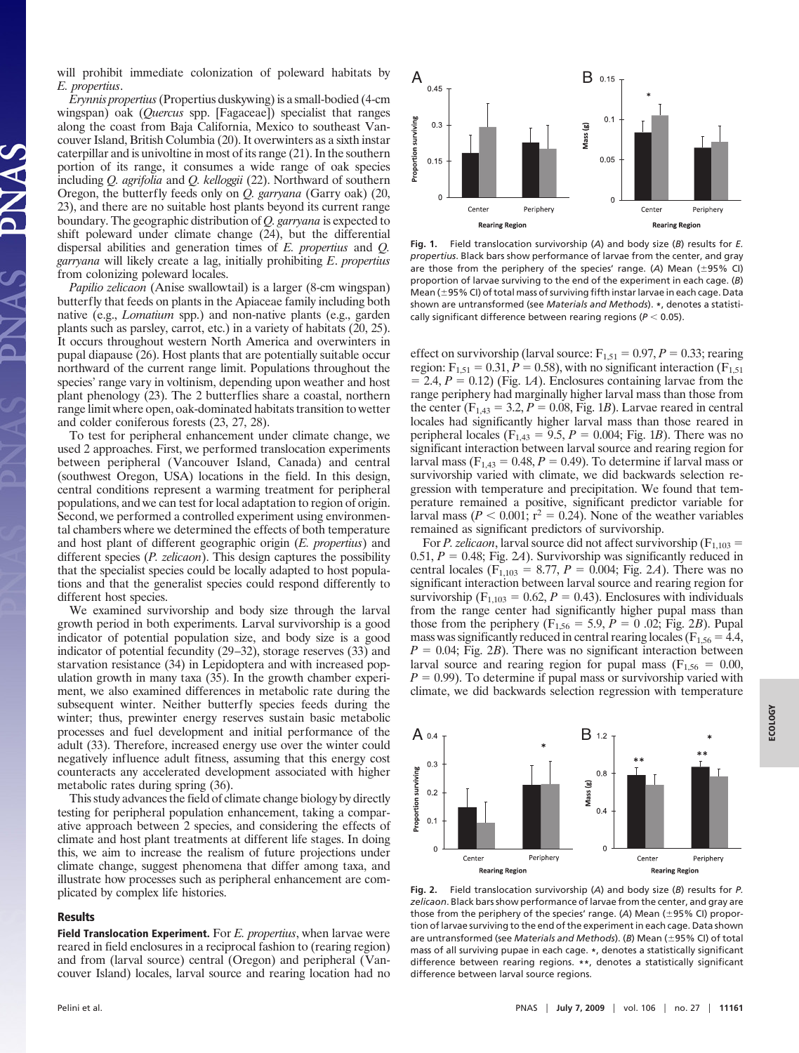will prohibit immediate colonization of poleward habitats by *E. propertius*.

*Erynnis propertius*(Propertius duskywing) is a small-bodied (4-cm wingspan) oak (*Quercus* spp. [Fagaceae]) specialist that ranges along the coast from Baja California, Mexico to southeast Vancouver Island, British Columbia (20). It overwinters as a sixth instar caterpillar and is univoltine in most of its range (21). In the southern portion of its range, it consumes a wide range of oak species including *Q. agrifolia* and *Q. kelloggii* (22). Northward of southern Oregon, the butterfly feeds only on *Q. garryana* (Garry oak) (20, 23), and there are no suitable host plants beyond its current range boundary. The geographic distribution of *Q. garryana* is expected to shift poleward under climate change (24), but the differential dispersal abilities and generation times of *E. propertius* and *Q. garryana* will likely create a lag, initially prohibiting *E*. *propertius* from colonizing poleward locales.

*Papilio zelicaon* (Anise swallowtail) is a larger (8-cm wingspan) butterfly that feeds on plants in the Apiaceae family including both native (e.g., *Lomatium* spp.) and non-native plants (e.g., garden plants such as parsley, carrot, etc.) in a variety of habitats (20, 25). It occurs throughout western North America and overwinters in pupal diapause (26). Host plants that are potentially suitable occur northward of the current range limit. Populations throughout the species' range vary in voltinism, depending upon weather and host plant phenology (23). The 2 butterflies share a coastal, northern range limit where open, oak-dominated habitats transition to wetter and colder coniferous forests (23, 27, 28).

To test for peripheral enhancement under climate change, we used 2 approaches. First, we performed translocation experiments between peripheral (Vancouver Island, Canada) and central (southwest Oregon, USA) locations in the field. In this design, central conditions represent a warming treatment for peripheral populations, and we can test for local adaptation to region of origin. Second, we performed a controlled experiment using environmental chambers where we determined the effects of both temperature and host plant of different geographic origin (*E. propertius*) and different species (*P. zelicaon*). This design captures the possibility that the specialist species could be locally adapted to host populations and that the generalist species could respond differently to different host species.

We examined survivorship and body size through the larval growth period in both experiments. Larval survivorship is a good indicator of potential population size, and body size is a good indicator of potential fecundity (29–32), storage reserves (33) and starvation resistance (34) in Lepidoptera and with increased population growth in many taxa (35). In the growth chamber experiment, we also examined differences in metabolic rate during the subsequent winter. Neither butterfly species feeds during the winter; thus, prewinter energy reserves sustain basic metabolic processes and fuel development and initial performance of the adult (33). Therefore, increased energy use over the winter could negatively influence adult fitness, assuming that this energy cost counteracts any accelerated development associated with higher metabolic rates during spring (36).

This study advances the field of climate change biology by directly testing for peripheral population enhancement, taking a comparative approach between 2 species, and considering the effects of climate and host plant treatments at different life stages. In doing this, we aim to increase the realism of future projections under climate change, suggest phenomena that differ among taxa, and illustrate how processes such as peripheral enhancement are complicated by complex life histories.

## **Results**

**Field Translocation Experiment.** For *E. propertius*, when larvae were reared in field enclosures in a reciprocal fashion to (rearing region) and from (larval source) central (Oregon) and peripheral (Vancouver Island) locales, larval source and rearing location had no



**Fig. 1.** Field translocation survivorship (*A*) and body size (*B*) results for *E. propertius*. Black bars show performance of larvae from the center, and gray are those from the periphery of the species' range. (A) Mean  $(\pm 95\%$  CI) proportion of larvae surviving to the end of the experiment in each cage. (*B*) Mean ( $\pm$ 95% CI) of total mass of surviving fifth instar larvae in each cage. Data shown are untransformed (see *Materials and Methods*). **\***, denotes a statistically significant difference between rearing regions ( $P < 0.05$ ).

effect on survivorship (larval source:  $F_{1,51} = 0.97, P = 0.33$ ; rearing region:  $F_{1,51} = 0.31, P = 0.58$ ), with no significant interaction ( $F_{1,51}$ )  $= 2.4, P = 0.12$ ) (Fig. 1*A*). Enclosures containing larvae from the range periphery had marginally higher larval mass than those from the center ( $F_{1,43} = 3.2, P = 0.08$ , Fig. 1*B*). Larvae reared in central locales had significantly higher larval mass than those reared in peripheral locales ( $F_{1,43} = 9.5$ ,  $P = 0.004$ ; Fig. 1*B*). There was no significant interaction between larval source and rearing region for larval mass ( $F_{1,43} = 0.48, P = 0.49$ ). To determine if larval mass or survivorship varied with climate, we did backwards selection regression with temperature and precipitation. We found that temperature remained a positive, significant predictor variable for larval mass ( $P < 0.001$ ;  $r^2 = 0.24$ ). None of the weather variables remained as significant predictors of survivorship.

For *P. zelicaon*, larval source did not affect survivorship  $(F_{1,103} =$  $0.51, P = 0.48$ ; Fig. 2*A*). Survivorship was significantly reduced in central locales ( $F_{1,103} = 8.77$ ,  $P = 0.004$ ; Fig. 2*A*). There was no significant interaction between larval source and rearing region for survivorship ( $F_{1,103} = 0.62$ ,  $P = 0.43$ ). Enclosures with individuals from the range center had significantly higher pupal mass than those from the periphery ( $F_{1,56} = 5.9, P = 0.02$ ; Fig. 2*B*). Pupal mass was significantly reduced in central rearing locales ( $F_{1,56} = 4.4$ ,  $P = 0.04$ ; Fig. 2*B*). There was no significant interaction between larval source and rearing region for pupal mass ( $F_{1,56} = 0.00$ ,  $P = 0.99$ ). To determine if pupal mass or survivorship varied with climate, we did backwards selection regression with temperature



**Fig. 2.** Field translocation survivorship (*A*) and body size (*B*) results for *P. zelicaon*. Black bars show performance of larvae from the center, and gray are those from the periphery of the species' range. (A) Mean  $(\pm 95\%$  CI) proportion of larvae surviving to the end of the experiment in each cage. Data shown are untransformed (see *Materials and Methods*). (*B*) Mean (±95% CI) of total mass of all surviving pupae in each cage. **\***, denotes a statistically significant difference between rearing regions. **\*\***, denotes a statistically significant difference between larval source regions.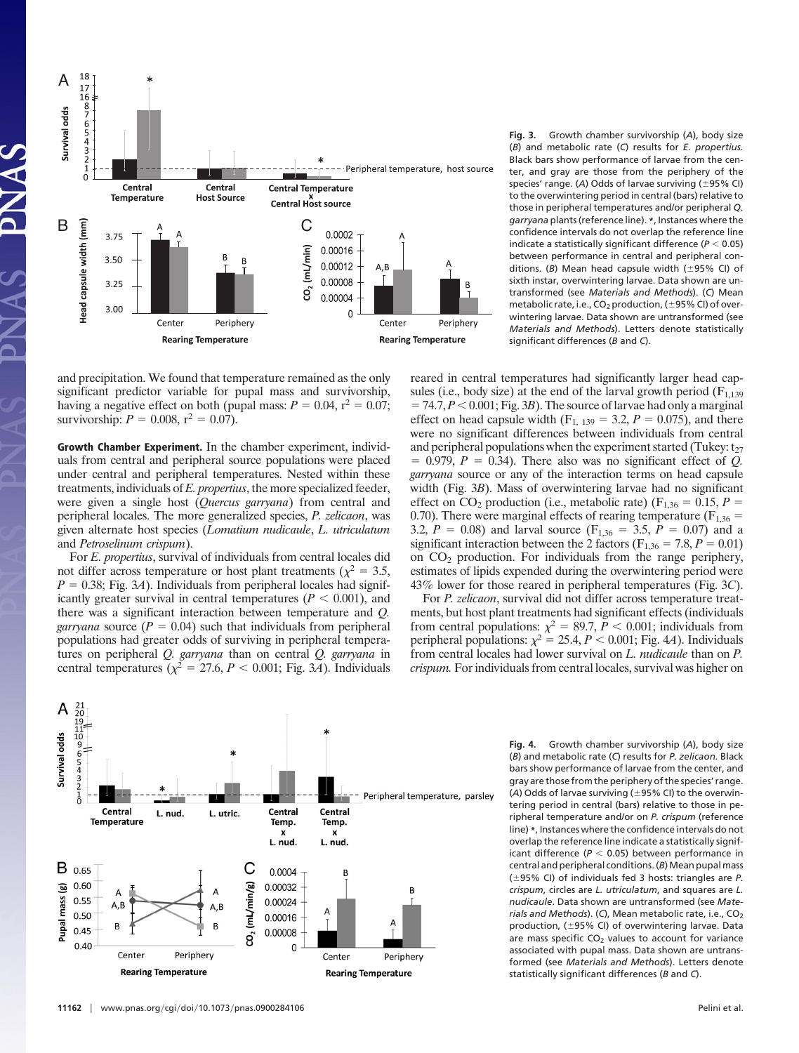

**Fig. 3.** Growth chamber survivorship (*A*), body size (*B*) and metabolic rate (*C*) results for *E. propertius.* Black bars show performance of larvae from the center, and gray are those from the periphery of the species' range. (A) Odds of larvae surviving  $(±95\%$  CI) to the overwintering period in central (bars) relative to those in peripheral temperatures and/or peripheral *Q. garryana* plants (reference line). **\***, Instances where the confidence intervals do not overlap the reference line indicate a statistically significant difference ( $P < 0.05$ ) between performance in central and peripheral conditions. ( $B$ ) Mean head capsule width ( $\pm$ 95% CI) of sixth instar, overwintering larvae. Data shown are untransformed (see *Materials and Methods*). (*C*) Mean metabolic rate, i.e.,  $CO<sub>2</sub>$  production, ( $\pm$ 95% CI) of overwintering larvae. Data shown are untransformed (see *Materials and Methods*). Letters denote statistically significant differences (*B* and *C*).

and precipitation. We found that temperature remained as the only significant predictor variable for pupal mass and survivorship, having a negative effect on both (pupal mass:  $P = 0.04$ ,  $r^2 = 0.07$ ; survivorship:  $P = 0.008$ ,  $r^2 = 0.07$ ).

**Growth Chamber Experiment.** In the chamber experiment, individuals from central and peripheral source populations were placed under central and peripheral temperatures. Nested within these treatments, individuals of *E. propertius*, the more specialized feeder, were given a single host (*Quercus garryana*) from central and peripheral locales. The more generalized species, *P. zelicaon*, was given alternate host species (*Lomatium nudicaule*, *L. utriculatum* and *Petroselinum crispum*).

For *E. propertius*, survival of individuals from central locales did not differ across temperature or host plant treatments ( $\chi^2 = 3.5$ ,  $P = 0.38$ ; Fig. 3*A*). Individuals from peripheral locales had significantly greater survival in central temperatures  $(P < 0.001)$ , and there was a significant interaction between temperature and *Q. garryana* source ( $P = 0.04$ ) such that individuals from peripheral populations had greater odds of surviving in peripheral temperatures on peripheral *Q. garryana* than on central *Q. garryana* in central temperatures ( $\chi^2 = 27.6$ ,  $P < 0.001$ ; Fig. 3A). Individuals

reared in central temperatures had significantly larger head capsules (i.e., body size) at the end of the larval growth period  $(F_{1,139})$  $= 74.7, P < 0.001$ ; Fig. 3*B*). The source of larvae had only a marginal effect on head capsule width  $(F<sub>1, 139</sub> = 3.2, P = 0.075)$ , and there were no significant differences between individuals from central and peripheral populations when the experiment started (Tukey:  $t_{27}$  $= 0.979$ ,  $P = 0.34$ ). There also was no significant effect of *Q*. *garryana* source or any of the interaction terms on head capsule width (Fig. 3*B*). Mass of overwintering larvae had no significant effect on CO<sub>2</sub> production (i.e., metabolic rate) ( $F_{1,36} = 0.15, P =$ 0.70). There were marginal effects of rearing temperature ( $F_{1,36}$  = 3.2,  $P = 0.08$ ) and larval source (F<sub>1,36</sub> = 3.5,  $P = 0.07$ ) and a significant interaction between the 2 factors ( $F_{1,36} = 7.8$ ,  $P = 0.01$ ) on  $CO<sub>2</sub>$  production. For individuals from the range periphery, estimates of lipids expended during the overwintering period were 43% lower for those reared in peripheral temperatures (Fig. 3*C*).

For *P. zelicaon*, survival did not differ across temperature treatments, but host plant treatments had significant effects (individuals from central populations:  $\chi^2 = 89.7$ ,  $P < 0.001$ ; individuals from peripheral populations:  $\chi^2 = 25.4, P < 0.001$ ; Fig. 4*A*). Individuals from central locales had lower survival on *L. nudicaule* than on *P. crispum.* For individuals from central locales, survival was higher on



**Fig. 4.** Growth chamber survivorship (*A*), body size (*B*) and metabolic rate (*C*) results for *P. zelicaon.* Black bars show performance of larvae from the center, and gray are those from the periphery of the species' range. (A) Odds of larvae surviving  $(\pm 95\%$  CI) to the overwintering period in central (bars) relative to those in peripheral temperature and/or on *P. crispum* (reference line) **\***, Instances where the confidence intervals do not overlap the reference line indicate a statistically significant difference ( $P < 0.05$ ) between performance in central and peripheral conditions. (B) Mean pupal mass (95% CI) of individuals fed 3 hosts: triangles are *P. crispum*, circles are *L. utriculatum*, and squares are *L. nudicaule*. Data shown are untransformed (see *Materials and Methods*). (C), Mean metabolic rate, i.e., CO<sub>2</sub> production,  $(±95%$  CI) of overwintering larvae. Data are mass specific  $CO<sub>2</sub>$  values to account for variance associated with pupal mass. Data shown are untransformed (see *Materials and Methods*). Letters denote statistically significant differences (*B* and *C*).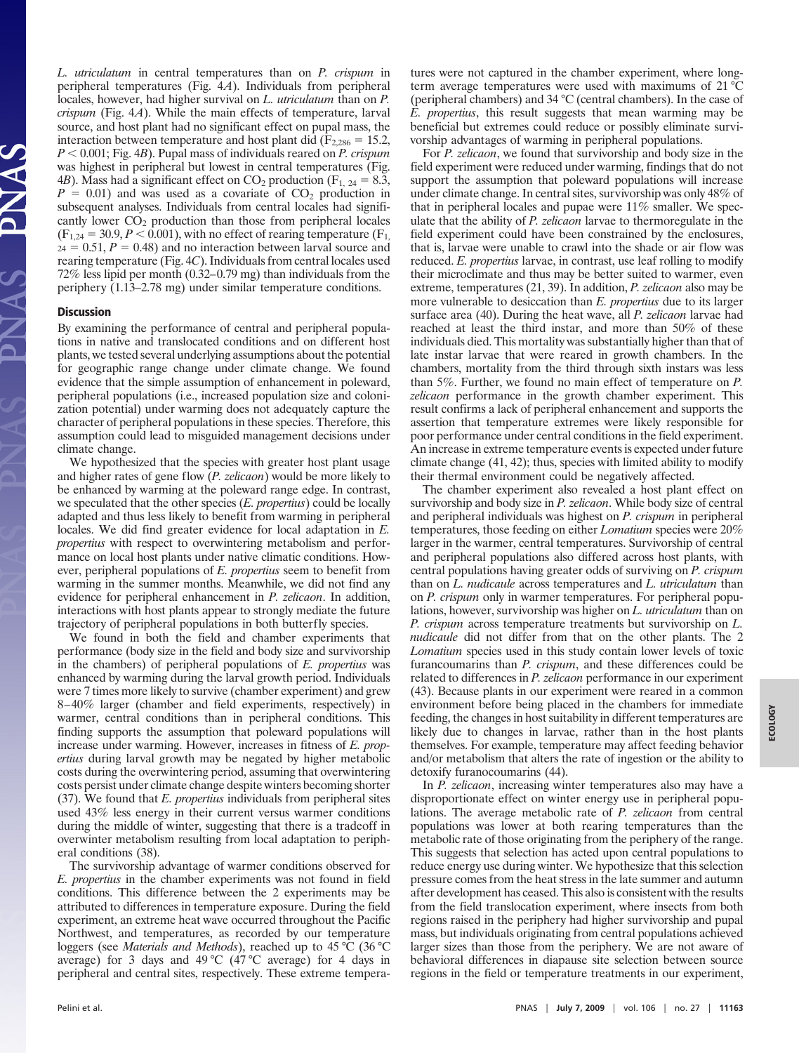*L. utriculatum* in central temperatures than on *P. crispum* in peripheral temperatures (Fig. 4*A*). Individuals from peripheral locales, however, had higher survival on *L. utriculatum* than on *P. crispum* (Fig. 4*A*). While the main effects of temperature, larval source, and host plant had no significant effect on pupal mass, the interaction between temperature and host plant did ( $F_{2,286} = 15.2$ , *P* - 0.001; Fig. 4*B*). Pupal mass of individuals reared on *P. crispum* was highest in peripheral but lowest in central temperatures (Fig. 4*B*). Mass had a significant effect on  $CO_2$  production ( $F_{1, 24} = 8.3$ ,  $P = 0.01$ ) and was used as a covariate of  $CO<sub>2</sub>$  production in subsequent analyses. Individuals from central locales had significantly lower  $CO<sub>2</sub>$  production than those from peripheral locales  $(F_{1,24} = 30.9, P \le 0.001)$ , with no effect of rearing temperature  $(F_{1,24} = 30.9, P \le 0.001)$  $24 = 0.51, P = 0.48$  and no interaction between larval source and rearing temperature (Fig. 4*C*). Individuals from central locales used 72% less lipid per month (0.32–0.79 mg) than individuals from the periphery (1.13–2.78 mg) under similar temperature conditions.

# **Discussion**

By examining the performance of central and peripheral populations in native and translocated conditions and on different host plants, we tested several underlying assumptions about the potential for geographic range change under climate change. We found evidence that the simple assumption of enhancement in poleward, peripheral populations (i.e., increased population size and colonization potential) under warming does not adequately capture the character of peripheral populations in these species. Therefore, this assumption could lead to misguided management decisions under climate change.

We hypothesized that the species with greater host plant usage and higher rates of gene flow (*P. zelicaon*) would be more likely to be enhanced by warming at the poleward range edge. In contrast, we speculated that the other species (*E. propertius*) could be locally adapted and thus less likely to benefit from warming in peripheral locales. We did find greater evidence for local adaptation in *E. propertius* with respect to overwintering metabolism and performance on local host plants under native climatic conditions. However, peripheral populations of *E. propertius* seem to benefit from warming in the summer months. Meanwhile, we did not find any evidence for peripheral enhancement in *P. zelicaon*. In addition, interactions with host plants appear to strongly mediate the future trajectory of peripheral populations in both butterfly species.

We found in both the field and chamber experiments that performance (body size in the field and body size and survivorship in the chambers) of peripheral populations of *E. propertius* was enhanced by warming during the larval growth period. Individuals were 7 times more likely to survive (chamber experiment) and grew 8–40% larger (chamber and field experiments, respectively) in warmer, central conditions than in peripheral conditions. This finding supports the assumption that poleward populations will increase under warming. However, increases in fitness of *E. propertius* during larval growth may be negated by higher metabolic costs during the overwintering period, assuming that overwintering costs persist under climate change despite winters becoming shorter (37). We found that *E. propertius* individuals from peripheral sites used 43% less energy in their current versus warmer conditions during the middle of winter, suggesting that there is a tradeoff in overwinter metabolism resulting from local adaptation to peripheral conditions (38).

The survivorship advantage of warmer conditions observed for *E. propertius* in the chamber experiments was not found in field conditions. This difference between the 2 experiments may be attributed to differences in temperature exposure. During the field experiment, an extreme heat wave occurred throughout the Pacific Northwest, and temperatures, as recorded by our temperature loggers (see *Materials and Methods*), reached up to 45 °C (36 °C average) for 3 days and 49 °C (47 °C average) for 4 days in peripheral and central sites, respectively. These extreme temperatures were not captured in the chamber experiment, where longterm average temperatures were used with maximums of 21 °C (peripheral chambers) and 34 °C (central chambers). In the case of *E. propertius*, this result suggests that mean warming may be beneficial but extremes could reduce or possibly eliminate survivorship advantages of warming in peripheral populations.

For *P. zelicaon*, we found that survivorship and body size in the field experiment were reduced under warming, findings that do not support the assumption that poleward populations will increase under climate change. In central sites, survivorship was only 48% of that in peripheral locales and pupae were 11% smaller. We speculate that the ability of *P. zelicaon* larvae to thermoregulate in the field experiment could have been constrained by the enclosures, that is, larvae were unable to crawl into the shade or air flow was reduced. *E. propertius* larvae, in contrast, use leaf rolling to modify their microclimate and thus may be better suited to warmer, even extreme, temperatures (21, 39). In addition, *P. zelicaon* also may be more vulnerable to desiccation than *E. propertius* due to its larger surface area (40). During the heat wave, all *P. zelicaon* larvae had reached at least the third instar, and more than 50% of these individuals died. This mortality was substantially higher than that of late instar larvae that were reared in growth chambers. In the chambers, mortality from the third through sixth instars was less than 5%. Further, we found no main effect of temperature on *P. zelicaon* performance in the growth chamber experiment. This result confirms a lack of peripheral enhancement and supports the assertion that temperature extremes were likely responsible for poor performance under central conditions in the field experiment. An increase in extreme temperature events is expected under future climate change (41, 42); thus, species with limited ability to modify their thermal environment could be negatively affected.

The chamber experiment also revealed a host plant effect on survivorship and body size in *P. zelicaon*. While body size of central and peripheral individuals was highest on *P. crispum* in peripheral temperatures, those feeding on either *Lomatium* species were 20% larger in the warmer, central temperatures. Survivorship of central and peripheral populations also differed across host plants, with central populations having greater odds of surviving on *P. crispum* than on *L. nudicaule* across temperatures and *L. utriculatum* than on *P. crispum* only in warmer temperatures. For peripheral populations, however, survivorship was higher on *L. utriculatum* than on *P. crispum* across temperature treatments but survivorship on *L. nudicaule* did not differ from that on the other plants. The 2 *Lomatium* species used in this study contain lower levels of toxic furancoumarins than *P. crispum*, and these differences could be related to differences in *P. zelicaon* performance in our experiment (43). Because plants in our experiment were reared in a common environment before being placed in the chambers for immediate feeding, the changes in host suitability in different temperatures are likely due to changes in larvae, rather than in the host plants themselves. For example, temperature may affect feeding behavior and/or metabolism that alters the rate of ingestion or the ability to detoxify furanocoumarins (44).

In *P. zelicaon*, increasing winter temperatures also may have a disproportionate effect on winter energy use in peripheral populations. The average metabolic rate of *P. zelicaon* from central populations was lower at both rearing temperatures than the metabolic rate of those originating from the periphery of the range. This suggests that selection has acted upon central populations to reduce energy use during winter. We hypothesize that this selection pressure comes from the heat stress in the late summer and autumn after development has ceased. This also is consistent with the results from the field translocation experiment, where insects from both regions raised in the periphery had higher survivorship and pupal mass, but individuals originating from central populations achieved larger sizes than those from the periphery. We are not aware of behavioral differences in diapause site selection between source regions in the field or temperature treatments in our experiment,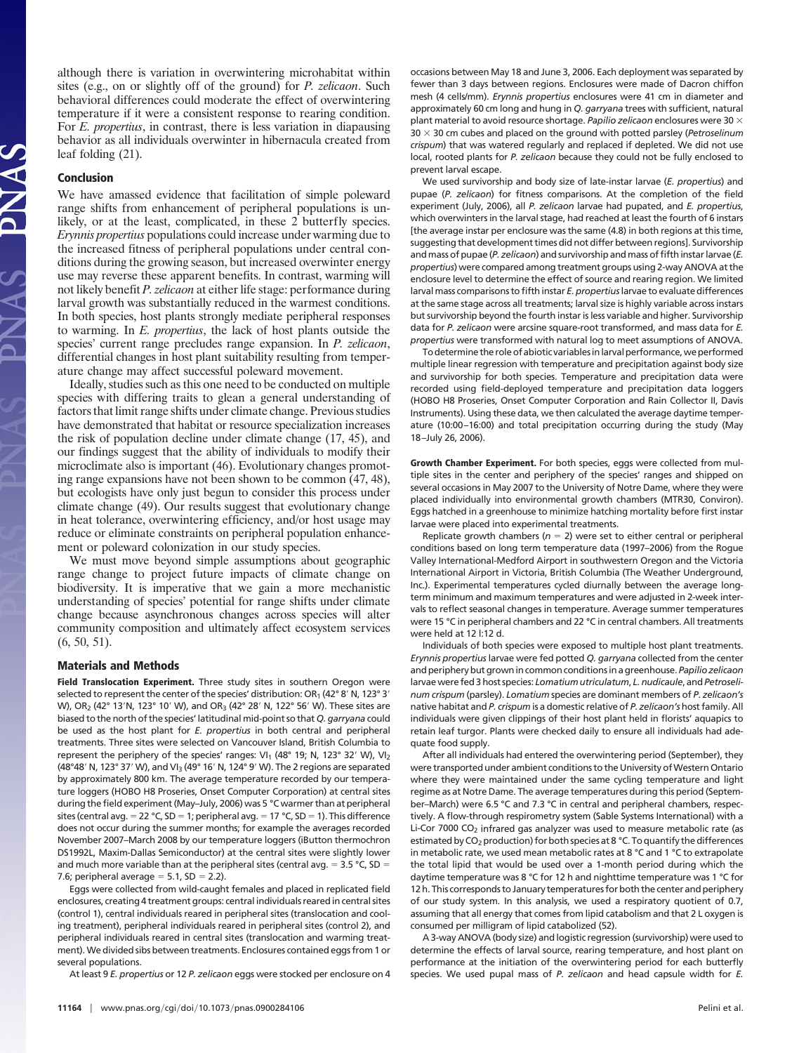although there is variation in overwintering microhabitat within sites (e.g., on or slightly off of the ground) for *P. zelicaon*. Such behavioral differences could moderate the effect of overwintering temperature if it were a consistent response to rearing condition. For *E. propertius*, in contrast, there is less variation in diapausing behavior as all individuals overwinter in hibernacula created from leaf folding (21).

### **Conclusion**

We have amassed evidence that facilitation of simple poleward range shifts from enhancement of peripheral populations is unlikely, or at the least, complicated, in these 2 butterfly species. *Erynnis propertius* populations could increase under warming due to the increased fitness of peripheral populations under central conditions during the growing season, but increased overwinter energy use may reverse these apparent benefits. In contrast, warming will not likely benefit *P. zelicaon* at either life stage: performance during larval growth was substantially reduced in the warmest conditions. In both species, host plants strongly mediate peripheral responses to warming. In *E. propertius*, the lack of host plants outside the species' current range precludes range expansion. In *P. zelicaon*, differential changes in host plant suitability resulting from temperature change may affect successful poleward movement.

Ideally, studies such as this one need to be conducted on multiple species with differing traits to glean a general understanding of factors that limit range shifts under climate change. Previous studies have demonstrated that habitat or resource specialization increases the risk of population decline under climate change (17, 45), and our findings suggest that the ability of individuals to modify their microclimate also is important (46). Evolutionary changes promoting range expansions have not been shown to be common (47, 48), but ecologists have only just begun to consider this process under climate change (49). Our results suggest that evolutionary change in heat tolerance, overwintering efficiency, and/or host usage may reduce or eliminate constraints on peripheral population enhancement or poleward colonization in our study species.

We must move beyond simple assumptions about geographic range change to project future impacts of climate change on biodiversity. It is imperative that we gain a more mechanistic understanding of species' potential for range shifts under climate change because asynchronous changes across species will alter community composition and ultimately affect ecosystem services (6, 50, 51).

#### **Materials and Methods**

**Field Translocation Experiment.** Three study sites in southern Oregon were selected to represent the center of the species' distribution:  $OR_1$  (42° 8' N, 123° 3' W), OR<sub>2</sub> (42° 13'N, 123° 10' W), and OR<sub>3</sub> (42° 28' N, 122° 56' W). These sites are biased to the north of the species' latitudinal mid-point so that *Q. garryana* could be used as the host plant for *E. propertius* in both central and peripheral treatments. Three sites were selected on Vancouver Island, British Columbia to represent the periphery of the species' ranges:  $VI_1$  (48° 19; N, 123° 32' W),  $VI_2$ (48°48' N, 123° 37' W), and VI<sub>3</sub> (49° 16' N, 124° 9' W). The 2 regions are separated by approximately 800 km. The average temperature recorded by our temperature loggers (HOBO H8 Proseries, Onset Computer Corporation) at central sites during the field experiment (May–July, 2006) was 5 °C warmer than at peripheral sites (central avg. = 22 °C, SD = 1; peripheral avg. = 17 °C, SD = 1). This difference does not occur during the summer months; for example the averages recorded November 2007–March 2008 by our temperature loggers (iButton thermochron DS1992L, Maxim-Dallas Semiconductor) at the central sites were slightly lower and much more variable than at the peripheral sites (central avg.  $=$  3.5 °C, SD = 7.6; peripheral average  $= 5.1$ , SD  $= 2.2$ ).

Eggs were collected from wild-caught females and placed in replicated field enclosures, creating 4 treatment groups: central individuals reared in central sites (control 1), central individuals reared in peripheral sites (translocation and cooling treatment), peripheral individuals reared in peripheral sites (control 2), and peripheral individuals reared in central sites (translocation and warming treatment).We divided sibs between treatments. Enclosures contained eggs from 1 or several populations.

At least 9 *E. propertius* or 12 *P. zelicaon* eggs were stocked per enclosure on 4

occasions between May 18 and June 3, 2006. Each deployment was separated by fewer than 3 days between regions. Enclosures were made of Dacron chiffon mesh (4 cells/mm). *Erynnis propertius* enclosures were 41 cm in diameter and approximately 60 cm long and hung in *Q. garryana* trees with sufficient, natural plant material to avoid resource shortage. *Papilio zelicaon* enclosures were 30 30 30 cm cubes and placed on the ground with potted parsley (*Petroselinum crispum*) that was watered regularly and replaced if depleted. We did not use local, rooted plants for *P. zelicaon* because they could not be fully enclosed to prevent larval escape.

We used survivorship and body size of late-instar larvae (*E. propertius*) and pupae (*P. zelicaon*) for fitness comparisons. At the completion of the field experiment (July, 2006), all *P. zelicaon* larvae had pupated, and *E. propertius*, which overwinters in the larval stage, had reached at least the fourth of 6 instars [the average instar per enclosure was the same (4.8) in both regions at this time, suggesting that development times did not differ between regions]. Survivorship and mass of pupae (*P. zelicaon*) and survivorship and mass of fifth instar larvae (*E. propertius*) were compared among treatment groups using 2-way ANOVA at the enclosure level to determine the effect of source and rearing region. We limited larval mass comparisons to fifth instar *E. propertius*larvae to evaluate differences at the same stage across all treatments; larval size is highly variable across instars but survivorship beyond the fourth instar is less variable and higher. Survivorship data for *P. zelicaon* were arcsine square-root transformed, and mass data for *E. propertius* were transformed with natural log to meet assumptions of ANOVA.

To determine the role of abiotic variablesinlarval performance,we performed multiple linear regression with temperature and precipitation against body size and survivorship for both species. Temperature and precipitation data were recorded using field-deployed temperature and precipitation data loggers (HOBO H8 Proseries, Onset Computer Corporation and Rain Collector II, Davis Instruments). Using these data, we then calculated the average daytime temperature (10:00 –16:00) and total precipitation occurring during the study (May 18 –July 26, 2006).

**Growth Chamber Experiment.** For both species, eggs were collected from multiple sites in the center and periphery of the species' ranges and shipped on several occasions in May 2007 to the University of Notre Dame, where they were placed individually into environmental growth chambers (MTR30, Conviron). Eggs hatched in a greenhouse to minimize hatching mortality before first instar larvae were placed into experimental treatments.

Replicate growth chambers ( $n = 2$ ) were set to either central or peripheral conditions based on long term temperature data (1997–2006) from the Rogue Valley International-Medford Airport in southwestern Oregon and the Victoria International Airport in Victoria, British Columbia (The Weather Underground, Inc.). Experimental temperatures cycled diurnally between the average longterm minimum and maximum temperatures and were adjusted in 2-week intervals to reflect seasonal changes in temperature. Average summer temperatures were 15 °C in peripheral chambers and 22 °C in central chambers. All treatments were held at 12 l:12 d.

Individuals of both species were exposed to multiple host plant treatments. *Erynnis propertius* larvae were fed potted *Q. garryana* collected from the center and periphery but grownin common conditionsin a greenhouse.*Papiliozelicaon* larvae were fed 3 host species: *Lomatium utriculatum*, *L. nudicaule*, and*Petroselinum crispum* (parsley). *Lomatium* species are dominant members of *P*. *zelicaon's* native habitat and *P. crispum* is a domestic relative of *P. zelicaon's* host family. All individuals were given clippings of their host plant held in florists' aquapics to retain leaf turgor. Plants were checked daily to ensure all individuals had adequate food supply.

After all individuals had entered the overwintering period (September), they were transported under ambient conditions to the University of Western Ontario where they were maintained under the same cycling temperature and light regime as at Notre Dame. The average temperatures during this period (September–March) were 6.5 °C and 7.3 °C in central and peripheral chambers, respectively. A flow-through respirometry system (Sable Systems International) with a Li-Cor 7000 CO<sub>2</sub> infrared gas analyzer was used to measure metabolic rate (as estimated by CO<sub>2</sub> production) for both species at 8 °C. To quantify the differences in metabolic rate, we used mean metabolic rates at 8 °C and 1 °C to extrapolate the total lipid that would be used over a 1-month period during which the daytime temperature was 8 °C for 12 h and nighttime temperature was 1 °C for 12 h. This corresponds to January temperatures for both the center and periphery of our study system. In this analysis, we used a respiratory quotient of 0.7, assuming that all energy that comes from lipid catabolism and that 2 L oxygen is consumed per milligram of lipid catabolized (52).

A 3-way ANOVA (body size) and logistic regression (survivorship) were used to determine the effects of larval source, rearing temperature, and host plant on performance at the initiation of the overwintering period for each butterfly species. We used pupal mass of *P. zelicaon* and head capsule width for *E.*